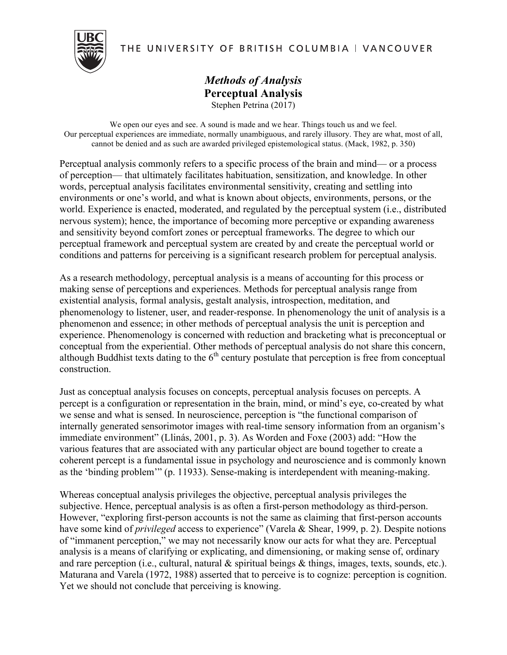THE UNIVERSITY OF BRITISH COLUMBIA | VANCOUVER



## *Methods of Analysis* **Perceptual Analysis** Stephen Petrina (2017)

We open our eyes and see. A sound is made and we hear. Things touch us and we feel. Our perceptual experiences are immediate, normally unambiguous, and rarely illusory. They are what, most of all, cannot be denied and as such are awarded privileged epistemological status. (Mack, 1982, p. 350)

Perceptual analysis commonly refers to a specific process of the brain and mind— or a process of perception— that ultimately facilitates habituation, sensitization, and knowledge. In other words, perceptual analysis facilitates environmental sensitivity, creating and settling into environments or one's world, and what is known about objects, environments, persons, or the world. Experience is enacted, moderated, and regulated by the perceptual system (i.e., distributed nervous system); hence, the importance of becoming more perceptive or expanding awareness and sensitivity beyond comfort zones or perceptual frameworks. The degree to which our perceptual framework and perceptual system are created by and create the perceptual world or conditions and patterns for perceiving is a significant research problem for perceptual analysis.

As a research methodology, perceptual analysis is a means of accounting for this process or making sense of perceptions and experiences. Methods for perceptual analysis range from existential analysis, formal analysis, gestalt analysis, introspection, meditation, and phenomenology to listener, user, and reader-response. In phenomenology the unit of analysis is a phenomenon and essence; in other methods of perceptual analysis the unit is perception and experience. Phenomenology is concerned with reduction and bracketing what is preconceptual or conceptual from the experiential. Other methods of perceptual analysis do not share this concern, although Buddhist texts dating to the  $6<sup>th</sup>$  century postulate that perception is free from conceptual construction.

Just as conceptual analysis focuses on concepts, perceptual analysis focuses on percepts. A percept is a configuration or representation in the brain, mind, or mind's eye, co-created by what we sense and what is sensed. In neuroscience, perception is "the functional comparison of internally generated sensorimotor images with real-time sensory information from an organism's immediate environment" (Llinás, 2001, p. 3). As Worden and Foxe (2003) add: "How the various features that are associated with any particular object are bound together to create a coherent percept is a fundamental issue in psychology and neuroscience and is commonly known as the 'binding problem'" (p. 11933). Sense-making is interdependent with meaning-making.

Whereas conceptual analysis privileges the objective, perceptual analysis privileges the subjective. Hence, perceptual analysis is as often a first-person methodology as third-person. However, "exploring first-person accounts is not the same as claiming that first-person accounts have some kind of *privileged* access to experience" (Varela & Shear, 1999, p. 2). Despite notions of "immanent perception," we may not necessarily know our acts for what they are. Perceptual analysis is a means of clarifying or explicating, and dimensioning, or making sense of, ordinary and rare perception (i.e., cultural, natural & spiritual beings & things, images, texts, sounds, etc.). Maturana and Varela (1972, 1988) asserted that to perceive is to cognize: perception is cognition. Yet we should not conclude that perceiving is knowing.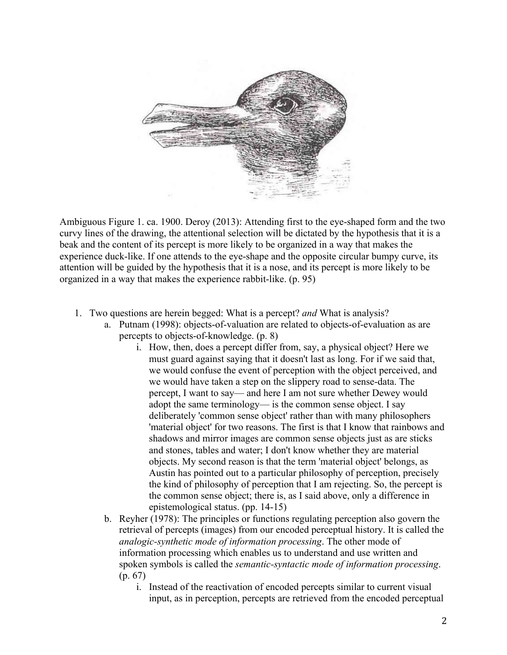

Ambiguous Figure 1. ca. 1900. Deroy (2013): Attending first to the eye-shaped form and the two curvy lines of the drawing, the attentional selection will be dictated by the hypothesis that it is a beak and the content of its percept is more likely to be organized in a way that makes the experience duck-like. If one attends to the eye-shape and the opposite circular bumpy curve, its attention will be guided by the hypothesis that it is a nose, and its percept is more likely to be organized in a way that makes the experience rabbit-like. (p. 95)

- 1. Two questions are herein begged: What is a percept? *and* What is analysis?
	- a. Putnam (1998): objects-of-valuation are related to objects-of-evaluation as are percepts to objects-of-knowledge. (p. 8)
		- i. How, then, does a percept differ from, say, a physical object? Here we must guard against saying that it doesn't last as long. For if we said that, we would confuse the event of perception with the object perceived, and we would have taken a step on the slippery road to sense-data. The percept, I want to say— and here I am not sure whether Dewey would adopt the same terminology— is the common sense object. I say deliberately 'common sense object' rather than with many philosophers 'material object' for two reasons. The first is that I know that rainbows and shadows and mirror images are common sense objects just as are sticks and stones, tables and water; I don't know whether they are material objects. My second reason is that the term 'material object' belongs, as Austin has pointed out to a particular philosophy of perception, precisely the kind of philosophy of perception that I am rejecting. So, the percept is the common sense object; there is, as I said above, only a difference in epistemological status. (pp. 14-15)
	- b. Reyher (1978): The principles or functions regulating perception also govern the retrieval of percepts (images) from our encoded perceptual history. It is called the *analogic-synthetic mode of information processing*. The other mode of information processing which enables us to understand and use written and spoken symbols is called the *semantic-syntactic mode of information processing*. (p. 67)
		- i. Instead of the reactivation of encoded percepts similar to current visual input, as in perception, percepts are retrieved from the encoded perceptual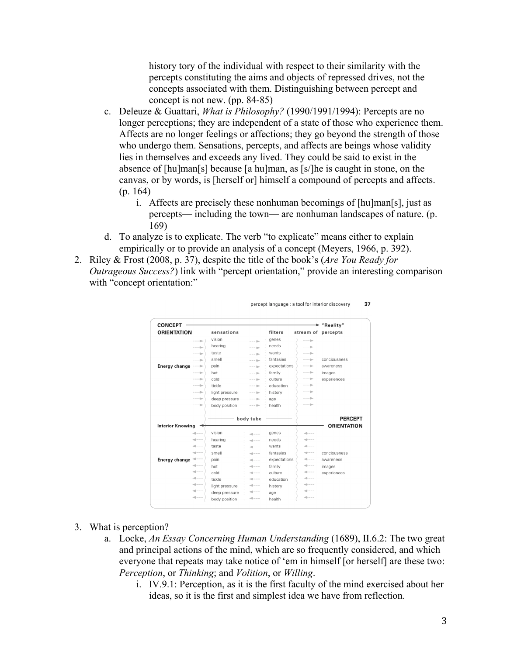history tory of the individual with respect to their similarity with the percepts constituting the aims and objects of repressed drives, not the concepts associated with them. Distinguishing between percept and concept is not new. (pp. 84-85)

- c. Deleuze & Guattari, *What is Philosophy?* (1990/1991/1994): Percepts are no longer perceptions; they are independent of a state of those who experience them. Affects are no longer feelings or affections; they go beyond the strength of those who undergo them. Sensations, percepts, and affects are beings whose validity lies in themselves and exceeds any lived. They could be said to exist in the absence of [hu]man[s] because [a hu]man, as [s/]he is caught in stone, on the canvas, or by words, is [herself or] himself a compound of percepts and affects. (p. 164)
	- i. Affects are precisely these nonhuman becomings of [hu]man[s], just as percepts— including the town— are nonhuman landscapes of nature. (p. 169)
- d. To analyze is to explicate. The verb "to explicate" means either to explain empirically or to provide an analysis of a concept (Meyers, 1966, p. 392).
- 2. Riley & Frost (2008, p. 37), despite the title of the book's (*Are You Ready for Outrageous Success?*) link with "percept orientation," provide an interesting comparison with "concept orientation:"

| <b>CONCEPT</b><br><b>ORIENTATION</b> |                                                                                                                                                                                                                                                                                                                                                                                                                                                                            | sensations     |                                                                                                                                                                                                                                                                                                                                                                                                                                                                            | filters      | stream of percepts            | "Reality"                            |
|--------------------------------------|----------------------------------------------------------------------------------------------------------------------------------------------------------------------------------------------------------------------------------------------------------------------------------------------------------------------------------------------------------------------------------------------------------------------------------------------------------------------------|----------------|----------------------------------------------------------------------------------------------------------------------------------------------------------------------------------------------------------------------------------------------------------------------------------------------------------------------------------------------------------------------------------------------------------------------------------------------------------------------------|--------------|-------------------------------|--------------------------------------|
|                                      | $---10 - 10 - 10 = 0.000$                                                                                                                                                                                                                                                                                                                                                                                                                                                  | vision         |                                                                                                                                                                                                                                                                                                                                                                                                                                                                            | genes        | $---100$                      |                                      |
|                                      | -----                                                                                                                                                                                                                                                                                                                                                                                                                                                                      | hearing        | $---10 - 10 - 10 = 10$                                                                                                                                                                                                                                                                                                                                                                                                                                                     | needs        | ----                          |                                      |
|                                      | $---10$                                                                                                                                                                                                                                                                                                                                                                                                                                                                    | taste          | $---10 -$                                                                                                                                                                                                                                                                                                                                                                                                                                                                  | wants        | $---10 - 10 - 10 = 10$        |                                      |
|                                      | $--- 100$                                                                                                                                                                                                                                                                                                                                                                                                                                                                  | smell          | $- - - 10$                                                                                                                                                                                                                                                                                                                                                                                                                                                                 | fantasies    | $\cdots \cdots \cdots \cdots$ | conciousness                         |
| Energy change ---                    |                                                                                                                                                                                                                                                                                                                                                                                                                                                                            | pain           | $- - - 10$                                                                                                                                                                                                                                                                                                                                                                                                                                                                 | expectations |                               | awareness                            |
|                                      | -------                                                                                                                                                                                                                                                                                                                                                                                                                                                                    | hot            | $---10-$                                                                                                                                                                                                                                                                                                                                                                                                                                                                   | family       |                               | images                               |
|                                      | ----                                                                                                                                                                                                                                                                                                                                                                                                                                                                       | cold           | $---10-$                                                                                                                                                                                                                                                                                                                                                                                                                                                                   | culture      |                               | experiences                          |
|                                      | -----                                                                                                                                                                                                                                                                                                                                                                                                                                                                      | tickle         |                                                                                                                                                                                                                                                                                                                                                                                                                                                                            | education    | $\cdots \cdots \equiv$        |                                      |
|                                      | ----                                                                                                                                                                                                                                                                                                                                                                                                                                                                       | light pressure | $---12-$                                                                                                                                                                                                                                                                                                                                                                                                                                                                   | history      | ----                          |                                      |
|                                      |                                                                                                                                                                                                                                                                                                                                                                                                                                                                            | deep pressure  | $- - - 1 - 1$                                                                                                                                                                                                                                                                                                                                                                                                                                                              | age          | ----                          |                                      |
|                                      | --- <del>)</del>                                                                                                                                                                                                                                                                                                                                                                                                                                                           | body position  | ----                                                                                                                                                                                                                                                                                                                                                                                                                                                                       | health       |                               |                                      |
| <b>Interior Knowing</b>              |                                                                                                                                                                                                                                                                                                                                                                                                                                                                            | body tube      |                                                                                                                                                                                                                                                                                                                                                                                                                                                                            |              |                               | <b>PERCEPT</b><br><b>ORIENTATION</b> |
|                                      |                                                                                                                                                                                                                                                                                                                                                                                                                                                                            |                |                                                                                                                                                                                                                                                                                                                                                                                                                                                                            |              |                               |                                      |
|                                      | ----                                                                                                                                                                                                                                                                                                                                                                                                                                                                       | vision         | $\frac{1}{2} \left( \frac{1}{2} \right) \left( \frac{1}{2} \right) \left( \frac{1}{2} \right) \left( \frac{1}{2} \right) \left( \frac{1}{2} \right) \left( \frac{1}{2} \right) \left( \frac{1}{2} \right) \left( \frac{1}{2} \right) \left( \frac{1}{2} \right) \left( \frac{1}{2} \right) \left( \frac{1}{2} \right) \left( \frac{1}{2} \right) \left( \frac{1}{2} \right) \left( \frac{1}{2} \right) \left( \frac{1}{2} \right) \left( \frac{1}{2} \right) \left( \frac$ | genes        | ----                          |                                      |
|                                      | $\frac{1}{2} \left( \frac{1}{2} \right) \left( \frac{1}{2} \right) \left( \frac{1}{2} \right) \left( \frac{1}{2} \right) \left( \frac{1}{2} \right) \left( \frac{1}{2} \right) \left( \frac{1}{2} \right) \left( \frac{1}{2} \right) \left( \frac{1}{2} \right) \left( \frac{1}{2} \right) \left( \frac{1}{2} \right) \left( \frac{1}{2} \right) \left( \frac{1}{2} \right) \left( \frac{1}{2} \right) \left( \frac{1}{2} \right) \left( \frac{1}{2} \right) \left( \frac$ | hearing        | $-1 - -1$                                                                                                                                                                                                                                                                                                                                                                                                                                                                  | needs        | $- - - -$                     |                                      |
|                                      | $\frac{1}{2}$                                                                                                                                                                                                                                                                                                                                                                                                                                                              | taste          | $-1 - - -$                                                                                                                                                                                                                                                                                                                                                                                                                                                                 | wants        | $- - - -$                     |                                      |
|                                      | $- - - -$                                                                                                                                                                                                                                                                                                                                                                                                                                                                  | smell          | $-1 - - -$                                                                                                                                                                                                                                                                                                                                                                                                                                                                 | fantasies    | ----                          | conciousness                         |
| <b>Energy change</b>                 | $\frac{1}{2}$                                                                                                                                                                                                                                                                                                                                                                                                                                                              | pain           | $-1 - -$                                                                                                                                                                                                                                                                                                                                                                                                                                                                   | expectations | $\leftarrow -$                | awareness                            |
|                                      | $- - - -$                                                                                                                                                                                                                                                                                                                                                                                                                                                                  | hot            | $-1 - - -$                                                                                                                                                                                                                                                                                                                                                                                                                                                                 | family       | ----                          | images                               |
|                                      | $\frac{1}{2}$                                                                                                                                                                                                                                                                                                                                                                                                                                                              | cold           | $-1 - - -$                                                                                                                                                                                                                                                                                                                                                                                                                                                                 | culture      | ---                           | experiences                          |
|                                      | $+ - -$                                                                                                                                                                                                                                                                                                                                                                                                                                                                    | tickle         | $-1 - - -$                                                                                                                                                                                                                                                                                                                                                                                                                                                                 | education    | $\frac{1}{2}$                 |                                      |
|                                      | ----                                                                                                                                                                                                                                                                                                                                                                                                                                                                       | light pressure | $\frac{1}{2} \left( \frac{1}{2} \right) \left( \frac{1}{2} \right) \left( \frac{1}{2} \right) \left( \frac{1}{2} \right) \left( \frac{1}{2} \right) \left( \frac{1}{2} \right) \left( \frac{1}{2} \right) \left( \frac{1}{2} \right) \left( \frac{1}{2} \right) \left( \frac{1}{2} \right) \left( \frac{1}{2} \right) \left( \frac{1}{2} \right) \left( \frac{1}{2} \right) \left( \frac{1}{2} \right) \left( \frac{1}{2} \right) \left( \frac{1}{2} \right) \left( \frac$ | history      | ----                          |                                      |
|                                      |                                                                                                                                                                                                                                                                                                                                                                                                                                                                            |                |                                                                                                                                                                                                                                                                                                                                                                                                                                                                            |              |                               |                                      |
|                                      | $+ - - -$<br>$+ - -$                                                                                                                                                                                                                                                                                                                                                                                                                                                       | deep pressure  | $\frac{1}{2} \left( \frac{1}{2} - \frac{1}{2} \right) = \frac{1}{2} \left( \frac{1}{2} - \frac{1}{2} \right) = \frac{1}{2} \left( \frac{1}{2} - \frac{1}{2} \right) = \frac{1}{2} \left( \frac{1}{2} - \frac{1}{2} \right) = \frac{1}{2} \left( \frac{1}{2} - \frac{1}{2} \right) = \frac{1}{2} \left( \frac{1}{2} - \frac{1}{2} \right) = \frac{1}{2} \left( \frac{1}{2} - \frac{1}{2} \right) = \frac{1}{2} \left( \frac{1}{2}$<br>$\frac{1}{2}$                         | age          | $\frac{1}{2}$<br>$- - - -$    |                                      |

 $37$ percept language : a tool for interior discovery

- 3. What is perception?
	- a. Locke, *An Essay Concerning Human Understanding* (1689), II.6.2: The two great and principal actions of the mind, which are so frequently considered, and which everyone that repeats may take notice of 'em in himself [or herself] are these two: *Perception*, or *Thinking*; and *Volition*, or *Willing*.
		- i. IV.9.1: Perception, as it is the first faculty of the mind exercised about her ideas, so it is the first and simplest idea we have from reflection.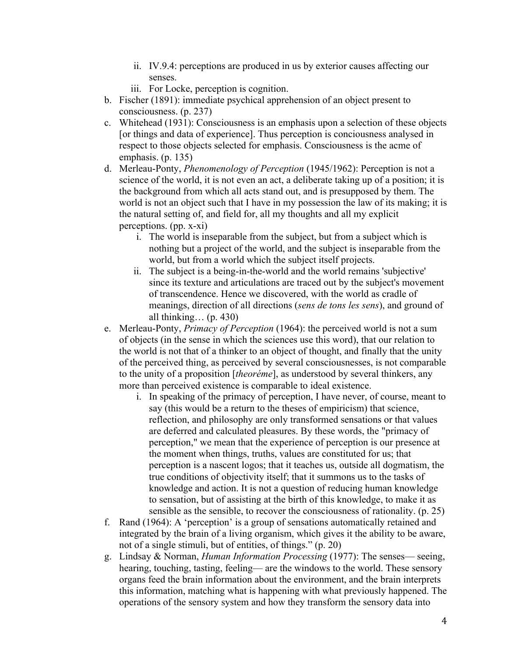- ii. IV.9.4: perceptions are produced in us by exterior causes affecting our senses.
- iii. For Locke, perception is cognition.
- b. Fischer (1891): immediate psychical apprehension of an object present to consciousness. (p. 237)
- c. Whitehead (1931): Consciousness is an emphasis upon a selection of these objects [or things and data of experience]. Thus perception is conciousness analysed in respect to those objects selected for emphasis. Consciousness is the acme of emphasis. (p. 135)
- d. Merleau-Ponty, *Phenomenology of Perception* (1945/1962): Perception is not a science of the world, it is not even an act, a deliberate taking up of a position; it is the background from which all acts stand out, and is presupposed by them. The world is not an object such that I have in my possession the law of its making; it is the natural setting of, and field for, all my thoughts and all my explicit perceptions. (pp. x-xi)
	- i. The world is inseparable from the subject, but from a subject which is nothing but a project of the world, and the subject is inseparable from the world, but from a world which the subject itself projects.
	- ii. The subject is a being-in-the-world and the world remains 'subjective' since its texture and articulations are traced out by the subject's movement of transcendence. Hence we discovered, with the world as cradle of meanings, direction of all directions (*sens de tons les sens*), and ground of all thinking...  $(p. 430)$
- e. Merleau-Ponty, *Primacy of Perception* (1964): the perceived world is not a sum of objects (in the sense in which the sciences use this word), that our relation to the world is not that of a thinker to an object of thought, and finally that the unity of the perceived thing, as perceived by several consciousnesses, is not comparable to the unity of a proposition [*theoréme*], as understood by several thinkers, any more than perceived existence is comparable to ideal existence.
	- i. In speaking of the primacy of perception, I have never, of course, meant to say (this would be a return to the theses of empiricism) that science, reflection, and philosophy are only transformed sensations or that values are deferred and calculated pleasures. By these words, the "primacy of perception," we mean that the experience of perception is our presence at the moment when things, truths, values are constituted for us; that perception is a nascent logos; that it teaches us, outside all dogmatism, the true conditions of objectivity itself; that it summons us to the tasks of knowledge and action. It is not a question of reducing human knowledge to sensation, but of assisting at the birth of this knowledge, to make it as sensible as the sensible, to recover the consciousness of rationality. (p. 25)
- f. Rand (1964): A 'perception' is a group of sensations automatically retained and integrated by the brain of a living organism, which gives it the ability to be aware, not of a single stimuli, but of entities, of things." (p. 20)
- g. Lindsay & Norman, *Human Information Processing* (1977): The senses— seeing, hearing, touching, tasting, feeling— are the windows to the world. These sensory organs feed the brain information about the environment, and the brain interprets this information, matching what is happening with what previously happened. The operations of the sensory system and how they transform the sensory data into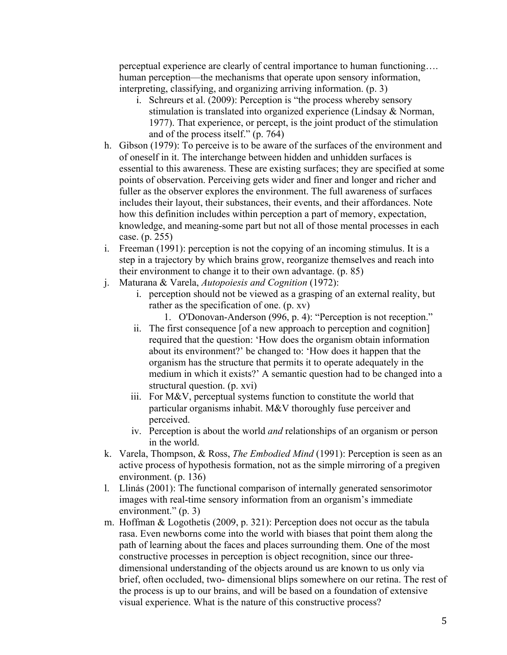perceptual experience are clearly of central importance to human functioning…. human perception—the mechanisms that operate upon sensory information, interpreting, classifying, and organizing arriving information. (p. 3)

- i. Schreurs et al. (2009): Perception is "the process whereby sensory stimulation is translated into organized experience (Lindsay & Norman, 1977). That experience, or percept, is the joint product of the stimulation and of the process itself." (p. 764)
- h. Gibson (1979): To perceive is to be aware of the surfaces of the environment and of oneself in it. The interchange between hidden and unhidden surfaces is essential to this awareness. These are existing surfaces; they are specified at some points of observation. Perceiving gets wider and finer and longer and richer and fuller as the observer explores the environment. The full awareness of surfaces includes their layout, their substances, their events, and their affordances. Note how this definition includes within perception a part of memory, expectation, knowledge, and meaning-some part but not all of those mental processes in each case. (p. 255)
- i. Freeman (1991): perception is not the copying of an incoming stimulus. It is a step in a trajectory by which brains grow, reorganize themselves and reach into their environment to change it to their own advantage. (p. 85)
- j. Maturana & Varela, *Autopoiesis and Cognition* (1972):
	- i. perception should not be viewed as a grasping of an external reality, but rather as the specification of one. (p. xv)
		- 1. O'Donovan-Anderson (996, p. 4): "Perception is not reception."
	- ii. The first consequence [of a new approach to perception and cognition] required that the question: 'How does the organism obtain information about its environment?' be changed to: 'How does it happen that the organism has the structure that permits it to operate adequately in the medium in which it exists?' A semantic question had to be changed into a structural question. (p. xvi)
	- iii. For M&V, perceptual systems function to constitute the world that particular organisms inhabit. M&V thoroughly fuse perceiver and perceived.
	- iv. Perception is about the world *and* relationships of an organism or person in the world.
- k. Varela, Thompson, & Ross, *The Embodied Mind* (1991): Perception is seen as an active process of hypothesis formation, not as the simple mirroring of a pregiven environment. (p. 136)
- l. Llinás (2001): The functional comparison of internally generated sensorimotor images with real-time sensory information from an organism's immediate environment." (p. 3)
- m. Hoffman & Logothetis (2009, p. 321): Perception does not occur as the tabula rasa. Even newborns come into the world with biases that point them along the path of learning about the faces and places surrounding them. One of the most constructive processes in perception is object recognition, since our threedimensional understanding of the objects around us are known to us only via brief, often occluded, two- dimensional blips somewhere on our retina. The rest of the process is up to our brains, and will be based on a foundation of extensive visual experience. What is the nature of this constructive process?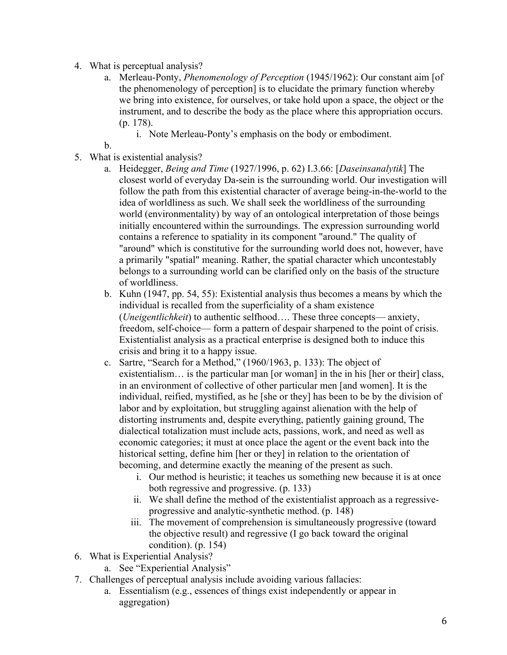- 4. What is perceptual analysis?
	- a. Merleau-Ponty, *Phenomenology of Perception* (1945/1962): Our constant aim [of the phenomenology of perception] is to elucidate the primary function whereby we bring into existence, for ourselves, or take hold upon a space, the object or the instrument, and to describe the body as the place where this appropriation occurs. (p. 178).
		- i. Note Merleau-Ponty's emphasis on the body or embodiment.
	- b.
- 5. What is existential analysis?
	- a. Heidegger, *Being and Time* (1927/1996, p. 62) I.3.66: [*Daseinsanalytik*] The closest world of everyday Da-sein is the surrounding world. Our investigation will follow the path from this existential character of average being-in-the-world to the idea of worldliness as such. We shall seek the worldliness of the surrounding world (environmentality) by way of an ontological interpretation of those beings initially encountered within the surroundings. The expression surrounding world contains a reference to spatiality in its component "around." The quality of "around" which is constitutive for the surrounding world does not, however, have a primarily "spatial" meaning. Rather, the spatial character which uncontestably belongs to a surrounding world can be clarified only on the basis of the structure of worldliness.
	- b. Kuhn (1947, pp. 54, 55): Existential analysis thus becomes a means by which the individual is recalled from the superficiality of a sham existence (*Uneigentlichkeit*) to authentic selfhood…. These three concepts— anxiety, freedom, self-choice— form a pattern of despair sharpened to the point of crisis. Existentialist analysis as a practical enterprise is designed both to induce this crisis and bring it to a happy issue.
	- c. Sartre, "Search for a Method," (1960/1963, p. 133): The object of existentialism… is the particular man [or woman] in the in his [her or their] class, in an environment of collective of other particular men [and women]. It is the individual, reified, mystified, as he [she or they] has been to be by the division of labor and by exploitation, but struggling against alienation with the help of distorting instruments and, despite everything, patiently gaining ground, The dialectical totalization must include acts, passions, work, and need as well as economic categories; it must at once place the agent or the event back into the historical setting, define him [her or they] in relation to the orientation of becoming, and determine exactly the meaning of the present as such.
		- i. Our method is heuristic; it teaches us something new because it is at once both regressive and progressive. (p. 133)
		- ii. We shall define the method of the existentialist approach as a regressiveprogressive and analytic-synthetic method. (p. 148)
		- iii. The movement of comprehension is simultaneously progressive (toward the objective result) and regressive (I go back toward the original condition). (p. 154)
- 6. What is Experiential Analysis?
	- a. See "Experiential Analysis"
- 7. Challenges of perceptual analysis include avoiding various fallacies:
	- a. Essentialism (e.g., essences of things exist independently or appear in aggregation)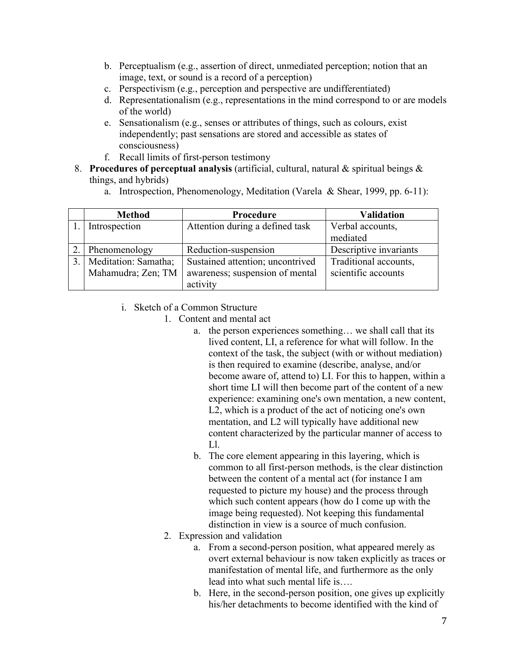- b. Perceptualism (e.g., assertion of direct, unmediated perception; notion that an image, text, or sound is a record of a perception)
- c. Perspectivism (e.g., perception and perspective are undifferentiated)
- d. Representationalism (e.g., representations in the mind correspond to or are models of the world)
- e. Sensationalism (e.g., senses or attributes of things, such as colours, exist independently; past sensations are stored and accessible as states of consciousness)
- f. Recall limits of first-person testimony
- 8. **Procedures of perceptual analysis** (artificial, cultural, natural & spiritual beings & things, and hybrids)
	- a. Introspection, Phenomenology, Meditation (Varela & Shear, 1999, pp. 6-11):

|    | <b>Method</b>        | Procedure                        | Validation             |
|----|----------------------|----------------------------------|------------------------|
|    | Introspection        | Attention during a defined task  | Verbal accounts,       |
|    |                      |                                  | mediated               |
| 2. | Phenomenology        | Reduction-suspension             | Descriptive invariants |
| 3. | Meditation: Samatha; | Sustained attention; uncontrived | Traditional accounts,  |
|    | Mahamudra; Zen; TM   | awareness; suspension of mental  | scientific accounts    |
|    |                      | activity                         |                        |

- i. Sketch of a Common Structure
	- 1. Content and mental act
		- a. the person experiences something… we shall call that its lived content, LI, a reference for what will follow. In the context of the task, the subject (with or without mediation) is then required to examine (describe, analyse, and/or become aware of, attend to) LI. For this to happen, within a short time LI will then become part of the content of a new experience: examining one's own mentation, a new content, L2, which is a product of the act of noticing one's own mentation, and L2 will typically have additional new content characterized by the particular manner of access to Ll.
		- b. The core element appearing in this layering, which is common to all first-person methods, is the clear distinction between the content of a mental act (for instance I am requested to picture my house) and the process through which such content appears (how do I come up with the image being requested). Not keeping this fundamental distinction in view is a source of much confusion.
	- 2. Expression and validation
		- a. From a second-person position, what appeared merely as overt external behaviour is now taken explicitly as traces or manifestation of mental life, and furthermore as the only lead into what such mental life is….
		- b. Here, in the second-person position, one gives up explicitly his/her detachments to become identified with the kind of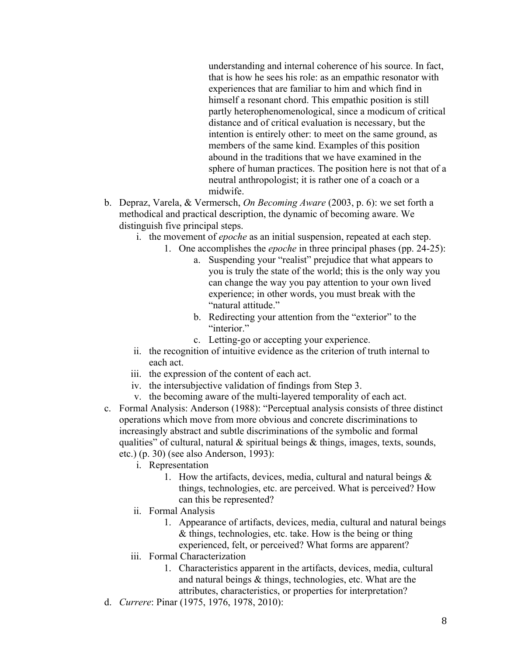understanding and internal coherence of his source. In fact, that is how he sees his role: as an empathic resonator with experiences that are familiar to him and which find in himself a resonant chord. This empathic position is still partly heterophenomenological, since a modicum of critical distance and of critical evaluation is necessary, but the intention is entirely other: to meet on the same ground, as members of the same kind. Examples of this position abound in the traditions that we have examined in the sphere of human practices. The position here is not that of a neutral anthropologist; it is rather one of a coach or a midwife.

- b. Depraz, Varela, & Vermersch, *On Becoming Aware* (2003, p. 6): we set forth a methodical and practical description, the dynamic of becoming aware. We distinguish five principal steps.
	- i. the movement of *epoche* as an initial suspension, repeated at each step.
		- 1. One accomplishes the *epoche* in three principal phases (pp. 24-25):
			- a. Suspending your "realist" prejudice that what appears to you is truly the state of the world; this is the only way you can change the way you pay attention to your own lived experience; in other words, you must break with the "natural attitude."
			- b. Redirecting your attention from the "exterior" to the "interior."
			- c. Letting-go or accepting your experience.
	- ii. the recognition of intuitive evidence as the criterion of truth internal to each act.
	- iii. the expression of the content of each act.
	- iv. the intersubjective validation of findings from Step 3.
	- v. the becoming aware of the multi-layered temporality of each act.
- c. Formal Analysis: Anderson (1988): "Perceptual analysis consists of three distinct operations which move from more obvious and concrete discriminations to increasingly abstract and subtle discriminations of the symbolic and formal qualities" of cultural, natural  $\&$  spiritual beings  $\&$  things, images, texts, sounds, etc.) (p. 30) (see also Anderson, 1993):
	- i. Representation
		- 1. How the artifacts, devices, media, cultural and natural beings & things, technologies, etc. are perceived. What is perceived? How can this be represented?
	- ii. Formal Analysis
		- 1. Appearance of artifacts, devices, media, cultural and natural beings & things, technologies, etc. take. How is the being or thing experienced, felt, or perceived? What forms are apparent?
	- iii. Formal Characterization
		- 1. Characteristics apparent in the artifacts, devices, media, cultural and natural beings & things, technologies, etc. What are the attributes, characteristics, or properties for interpretation?
- d. *Currere*: Pinar (1975, 1976, 1978, 2010):